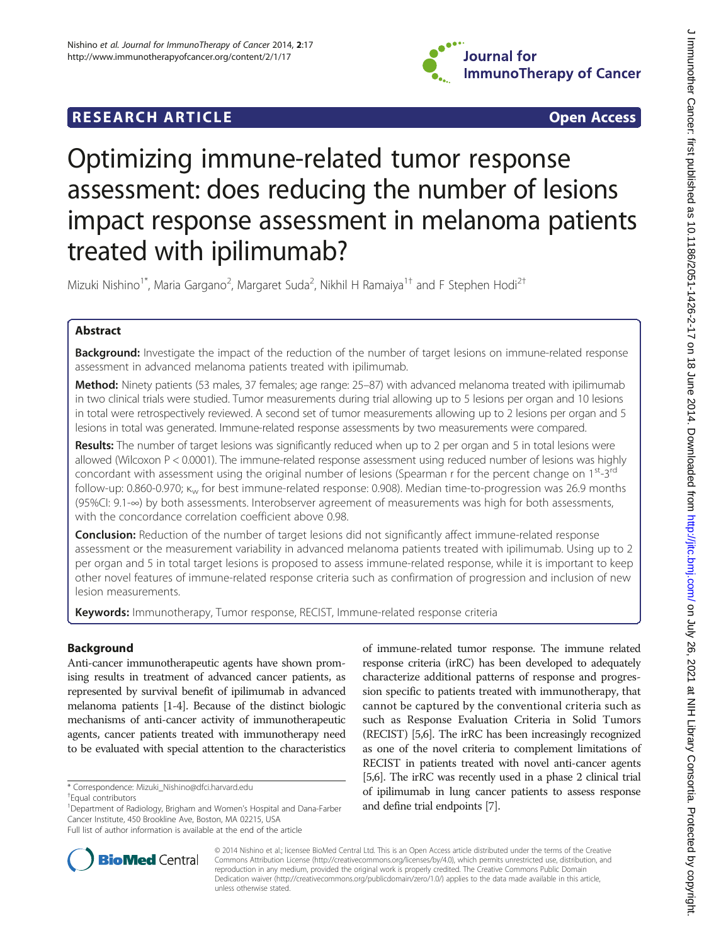

# **RESEARCH ARTICLE Example 2014 The SEAR CH ACCESS**

# Optimizing immune-related tumor response assessment: does reducing the number of lesions impact response assessment in melanoma patients treated with ipilimumab?

Mizuki Nishino<sup>1\*</sup>, Maria Gargano<sup>2</sup>, Margaret Suda<sup>2</sup>, Nikhil H Ramaiya<sup>1†</sup> and F Stephen Hodi<sup>2†</sup>

# Abstract

**Background:** Investigate the impact of the reduction of the number of target lesions on immune-related response assessment in advanced melanoma patients treated with ipilimumab.

Method: Ninety patients (53 males, 37 females; age range: 25-87) with advanced melanoma treated with ipilimumab in two clinical trials were studied. Tumor measurements during trial allowing up to 5 lesions per organ and 10 lesions in total were retrospectively reviewed. A second set of tumor measurements allowing up to 2 lesions per organ and 5 lesions in total was generated. Immune-related response assessments by two measurements were compared.

Results: The number of target lesions was significantly reduced when up to 2 per organ and 5 in total lesions were allowed (Wilcoxon P < 0.0001). The immune-related response assessment using reduced number of lesions was highly concordant with assessment using the original number of lesions (Spearman r for the percent change on 1<sup>st</sup>-3<sup>rd</sup> follow-up: 0.860-0.970; κ<sup>w</sup> for best immune-related response: 0.908). Median time-to-progression was 26.9 months (95%CI: 9.1-∞) by both assessments. Interobserver agreement of measurements was high for both assessments, with the concordance correlation coefficient above 0.98.

**Conclusion:** Reduction of the number of target lesions did not significantly affect immune-related response assessment or the measurement variability in advanced melanoma patients treated with ipilimumab. Using up to 2 per organ and 5 in total target lesions is proposed to assess immune-related response, while it is important to keep other novel features of immune-related response criteria such as confirmation of progression and inclusion of new lesion measurements.

Keywords: Immunotherapy, Tumor response, RECIST, Immune-related response criteria

# Background

Anti-cancer immunotherapeutic agents have shown promising results in treatment of advanced cancer patients, as represented by survival benefit of ipilimumab in advanced melanoma patients [\[1-4](#page-10-0)]. Because of the distinct biologic mechanisms of anti-cancer activity of immunotherapeutic agents, cancer patients treated with immunotherapy need to be evaluated with special attention to the characteristics

<sup>1</sup>Department of Radiology, Brigham and Women's Hospital and Dana-Farber Cancer Institute, 450 Brookline Ave, Boston, MA 02215, USA Full list of author information is available at the end of the article



© 2014 Nishino et al.; licensee BioMed Central Ltd. This is an Open Access article distributed under the terms of the Creative Commons Attribution License [\(http://creativecommons.org/licenses/by/4.0\)](http://creativecommons.org/licenses/by/4.0), which permits unrestricted use, distribution, and reproduction in any medium, provided the original work is properly credited. The Creative Commons Public Domain Dedication waiver [\(http://creativecommons.org/publicdomain/zero/1.0/](http://creativecommons.org/publicdomain/zero/1.0/)) applies to the data made available in this article, unless otherwise stated.

<sup>\*</sup> Correspondence: [Mizuki\\_Nishino@dfci.harvard.edu](mailto:Mizuki_Nishino@dfci.harvard.edu) †

Equal contributors

of immune-related tumor response. The immune related response criteria (irRC) has been developed to adequately characterize additional patterns of response and progression specific to patients treated with immunotherapy, that cannot be captured by the conventional criteria such as such as Response Evaluation Criteria in Solid Tumors (RECIST) [\[5,6](#page-10-0)]. The irRC has been increasingly recognized as one of the novel criteria to complement limitations of RECIST in patients treated with novel anti-cancer agents [[5,6](#page-10-0)]. The irRC was recently used in a phase 2 clinical trial of ipilimumab in lung cancer patients to assess response and define trial endpoints [[7](#page-10-0)].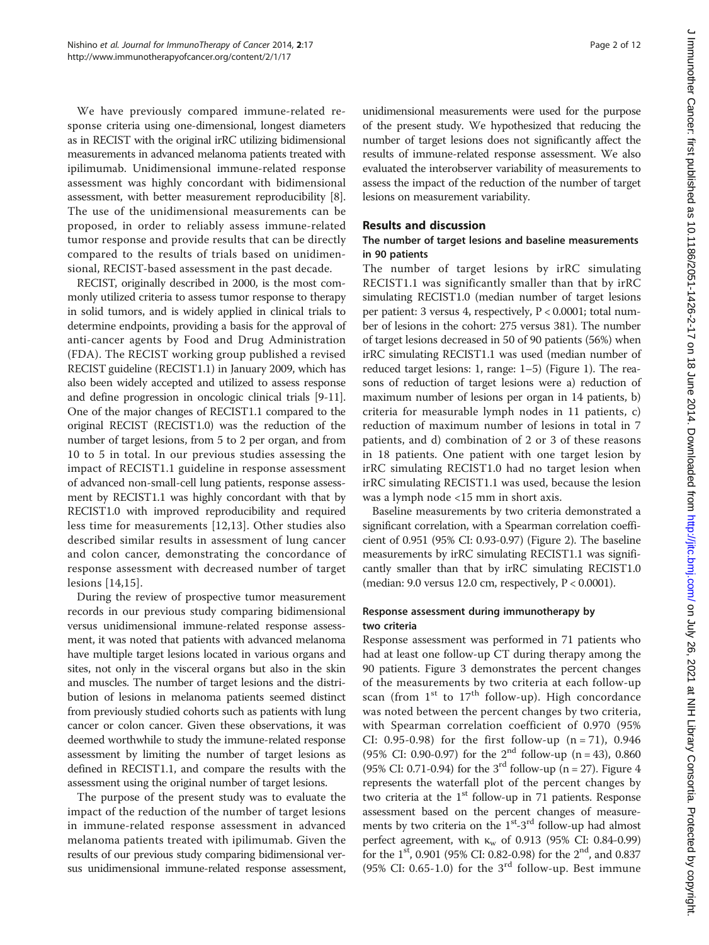We have previously compared immune-related response criteria using one-dimensional, longest diameters as in RECIST with the original irRC utilizing bidimensional measurements in advanced melanoma patients treated with ipilimumab. Unidimensional immune-related response assessment was highly concordant with bidimensional assessment, with better measurement reproducibility [[8](#page-10-0)]. The use of the unidimensional measurements can be proposed, in order to reliably assess immune-related tumor response and provide results that can be directly compared to the results of trials based on unidimensional, RECIST-based assessment in the past decade.

RECIST, originally described in 2000, is the most commonly utilized criteria to assess tumor response to therapy in solid tumors, and is widely applied in clinical trials to determine endpoints, providing a basis for the approval of anti-cancer agents by Food and Drug Administration (FDA). The RECIST working group published a revised RECIST guideline (RECIST1.1) in January 2009, which has also been widely accepted and utilized to assess response and define progression in oncologic clinical trials [\[9](#page-10-0)-[11](#page-10-0)]. One of the major changes of RECIST1.1 compared to the original RECIST (RECIST1.0) was the reduction of the number of target lesions, from 5 to 2 per organ, and from 10 to 5 in total. In our previous studies assessing the impact of RECIST1.1 guideline in response assessment of advanced non-small-cell lung patients, response assessment by RECIST1.1 was highly concordant with that by RECIST1.0 with improved reproducibility and required less time for measurements [[12](#page-10-0),[13\]](#page-10-0). Other studies also described similar results in assessment of lung cancer and colon cancer, demonstrating the concordance of response assessment with decreased number of target lesions [[14,15](#page-10-0)].

During the review of prospective tumor measurement records in our previous study comparing bidimensional versus unidimensional immune-related response assessment, it was noted that patients with advanced melanoma have multiple target lesions located in various organs and sites, not only in the visceral organs but also in the skin and muscles. The number of target lesions and the distribution of lesions in melanoma patients seemed distinct from previously studied cohorts such as patients with lung cancer or colon cancer. Given these observations, it was deemed worthwhile to study the immune-related response assessment by limiting the number of target lesions as defined in RECIST1.1, and compare the results with the assessment using the original number of target lesions.

The purpose of the present study was to evaluate the impact of the reduction of the number of target lesions in immune-related response assessment in advanced melanoma patients treated with ipilimumab. Given the results of our previous study comparing bidimensional versus unidimensional immune-related response assessment,

unidimensional measurements were used for the purpose of the present study. We hypothesized that reducing the number of target lesions does not significantly affect the results of immune-related response assessment. We also evaluated the interobserver variability of measurements to assess the impact of the reduction of the number of target lesions on measurement variability.

# Results and discussion

# The number of target lesions and baseline measurements in 90 patients

The number of target lesions by irRC simulating RECIST1.1 was significantly smaller than that by irRC simulating RECIST1.0 (median number of target lesions per patient: 3 versus 4, respectively, P < 0.0001; total number of lesions in the cohort: 275 versus 381). The number of target lesions decreased in 50 of 90 patients (56%) when irRC simulating RECIST1.1 was used (median number of reduced target lesions: 1, range: 1–5) (Figure [1](#page-2-0)). The reasons of reduction of target lesions were a) reduction of maximum number of lesions per organ in 14 patients, b) criteria for measurable lymph nodes in 11 patients, c) reduction of maximum number of lesions in total in 7 patients, and d) combination of 2 or 3 of these reasons in 18 patients. One patient with one target lesion by irRC simulating RECIST1.0 had no target lesion when irRC simulating RECIST1.1 was used, because the lesion was a lymph node <15 mm in short axis.

Baseline measurements by two criteria demonstrated a significant correlation, with a Spearman correlation coefficient of 0.951 (95% CI: 0.93-0.97) (Figure [2](#page-2-0)). The baseline measurements by irRC simulating RECIST1.1 was significantly smaller than that by irRC simulating RECIST1.0 (median: 9.0 versus 12.0 cm, respectively, P < 0.0001).

# Response assessment during immunotherapy by two criteria

Response assessment was performed in 71 patients who had at least one follow-up CT during therapy among the 90 patients. Figure [3](#page-3-0) demonstrates the percent changes of the measurements by two criteria at each follow-up scan (from  $1<sup>st</sup>$  to  $17<sup>th</sup>$  follow-up). High concordance was noted between the percent changes by two criteria, with Spearman correlation coefficient of 0.970 (95% CI: 0.95-0.98) for the first follow-up  $(n = 71)$ , 0.946 (95% CI: 0.90-0.97) for the  $2^{nd}$  follow-up (n = 43), 0.860 (95% CI: 0.71-0.94) for the 3<sup>rd</sup> follow-up (n = 27). Figure [4](#page-4-0) represents the waterfall plot of the percent changes by two criteria at the 1<sup>st</sup> follow-up in 71 patients. Response assessment based on the percent changes of measurements by two criteria on the  $1<sup>st</sup> - 3<sup>rd</sup>$  follow-up had almost perfect agreement, with  $K_w$  of 0.913 (95% CI: 0.84-0.99) for the  $1^{st}$ , 0.901 (95% CI: 0.82-0.98) for the  $2^{nd}$ , and 0.837 (95% CI: 0.65-1.0) for the  $3<sup>rd</sup>$  follow-up. Best immune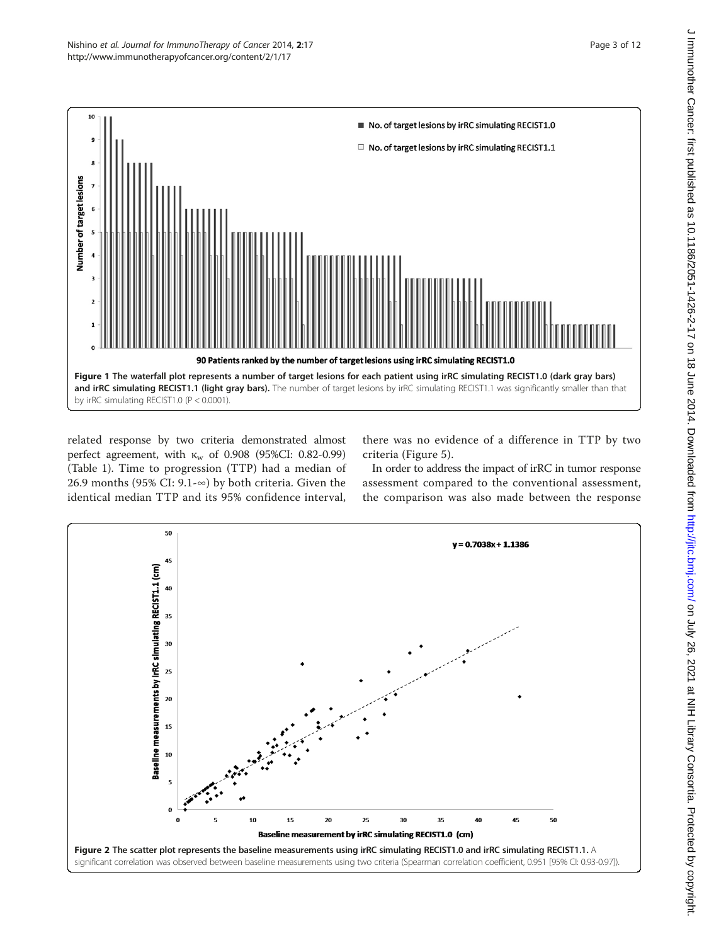<span id="page-2-0"></span>

related response by two criteria demonstrated almost perfect agreement, with  $K_w$  of 0.908 (95%CI: 0.82-0.99) (Table [1](#page-4-0)). Time to progression (TTP) had a median of 26.9 months (95% CI: 9.1-∞) by both criteria. Given the identical median TTP and its 95% confidence interval,

there was no evidence of a difference in TTP by two criteria (Figure [5\)](#page-5-0).

In order to address the impact of irRC in tumor response assessment compared to the conventional assessment, the comparison was also made between the response

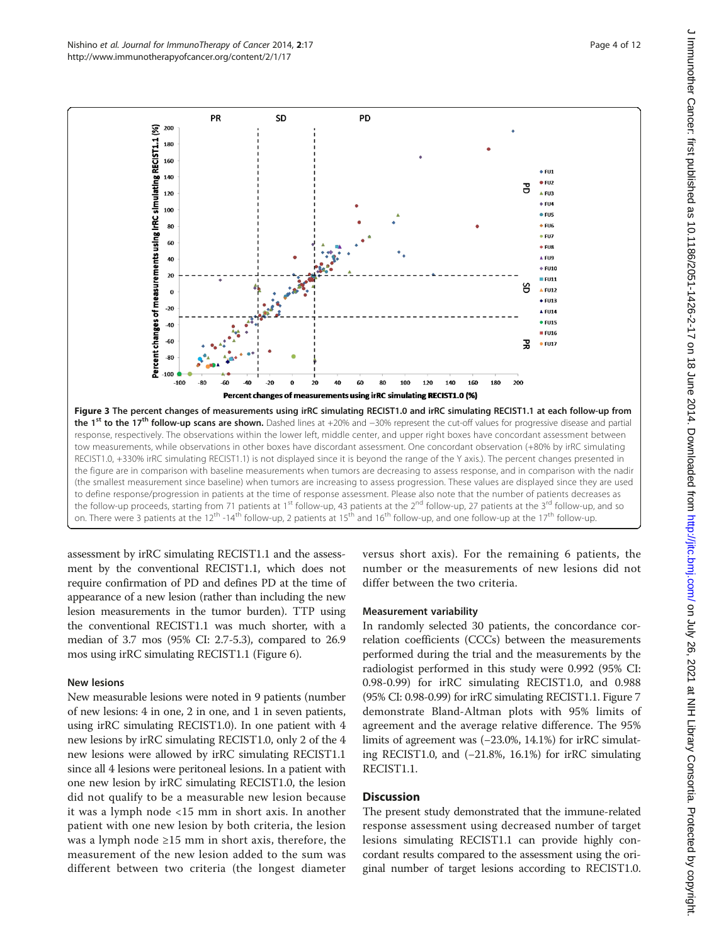assessment by irRC simulating RECIST1.1 and the assessment by the conventional RECIST1.1, which does not require confirmation of PD and defines PD at the time of appearance of a new lesion (rather than including the new lesion measurements in the tumor burden). TTP using the conventional RECIST1.1 was much shorter, with a median of 3.7 mos (95% CI: 2.7-5.3), compared to 26.9 mos using irRC simulating RECIST1.1 (Figure [6](#page-5-0)).

#### New lesions

New measurable lesions were noted in 9 patients (number of new lesions: 4 in one, 2 in one, and 1 in seven patients, using irRC simulating RECIST1.0). In one patient with 4 new lesions by irRC simulating RECIST1.0, only 2 of the 4 new lesions were allowed by irRC simulating RECIST1.1 since all 4 lesions were peritoneal lesions. In a patient with one new lesion by irRC simulating RECIST1.0, the lesion did not qualify to be a measurable new lesion because it was a lymph node <15 mm in short axis. In another patient with one new lesion by both criteria, the lesion was a lymph node  $\geq 15$  mm in short axis, therefore, the measurement of the new lesion added to the sum was different between two criteria (the longest diameter versus short axis). For the remaining 6 patients, the number or the measurements of new lesions did not differ between the two criteria.

## Measurement variability

In randomly selected 30 patients, the concordance correlation coefficients (CCCs) between the measurements performed during the trial and the measurements by the radiologist performed in this study were 0.992 (95% CI: 0.98-0.99) for irRC simulating RECIST1.0, and 0.988 (95% CI: 0.98-0.99) for irRC simulating RECIST1.1. Figure [7](#page-6-0) demonstrate Bland-Altman plots with 95% limits of agreement and the average relative difference. The 95% limits of agreement was (−23.0%, 14.1%) for irRC simulating RECIST1.0, and (−21.8%, 16.1%) for irRC simulating RECIST1.1.

# **Discussion**

The present study demonstrated that the immune-related response assessment using decreased number of target lesions simulating RECIST1.1 can provide highly concordant results compared to the assessment using the original number of target lesions according to RECIST1.0.

<span id="page-3-0"></span>

**PD** 

200

**PR** 

**SD**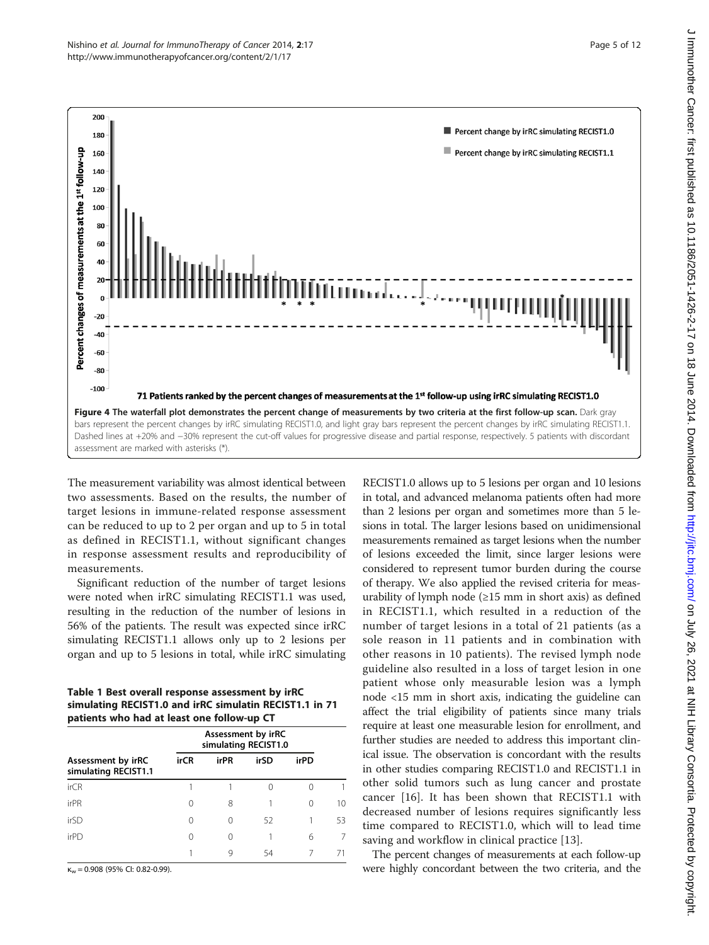<span id="page-4-0"></span>

The measurement variability was almost identical between two assessments. Based on the results, the number of target lesions in immune-related response assessment can be reduced to up to 2 per organ and up to 5 in total as defined in RECIST1.1, without significant changes in response assessment results and reproducibility of measurements.

Significant reduction of the number of target lesions were noted when irRC simulating RECIST1.1 was used, resulting in the reduction of the number of lesions in 56% of the patients. The result was expected since irRC simulating RECIST1.1 allows only up to 2 lesions per organ and up to 5 lesions in total, while irRC simulating

Table 1 Best overall response assessment by irRC simulating RECIST1.0 and irRC simulatin RECIST1.1 in 71 patients who had at least one follow-up CT

| Assessment by irRC<br>simulating RECIST1.1 | Assessment by irRC<br>simulating RECIST1.0 |      |      |      |    |
|--------------------------------------------|--------------------------------------------|------|------|------|----|
|                                            | <b>irCR</b>                                | irPR | irSD | irPD |    |
| <i>irCR</i>                                |                                            |      |      |      |    |
| irPR                                       | 0                                          | 8    |      | 0    | 10 |
| irSD                                       | 0                                          |      | 52   |      | 53 |
| irPD                                       | 0                                          |      |      | 6    |    |
|                                            |                                            |      | 54   |      |    |

 $\kappa_w = 0.908$  (95% CI: 0.82-0.99).

RECIST1.0 allows up to 5 lesions per organ and 10 lesions in total, and advanced melanoma patients often had more than 2 lesions per organ and sometimes more than 5 lesions in total. The larger lesions based on unidimensional measurements remained as target lesions when the number of lesions exceeded the limit, since larger lesions were considered to represent tumor burden during the course of therapy. We also applied the revised criteria for measurability of lymph node  $(\geq 15$  mm in short axis) as defined in RECIST1.1, which resulted in a reduction of the number of target lesions in a total of 21 patients (as a sole reason in 11 patients and in combination with other reasons in 10 patients). The revised lymph node guideline also resulted in a loss of target lesion in one patient whose only measurable lesion was a lymph node <15 mm in short axis, indicating the guideline can affect the trial eligibility of patients since many trials require at least one measurable lesion for enrollment, and further studies are needed to address this important clinical issue. The observation is concordant with the results in other studies comparing RECIST1.0 and RECIST1.1 in other solid tumors such as lung cancer and prostate cancer [\[16](#page-10-0)]. It has been shown that RECIST1.1 with decreased number of lesions requires significantly less time compared to RECIST1.0, which will to lead time saving and workflow in clinical practice [\[13](#page-10-0)].

The percent changes of measurements at each follow-up were highly concordant between the two criteria, and the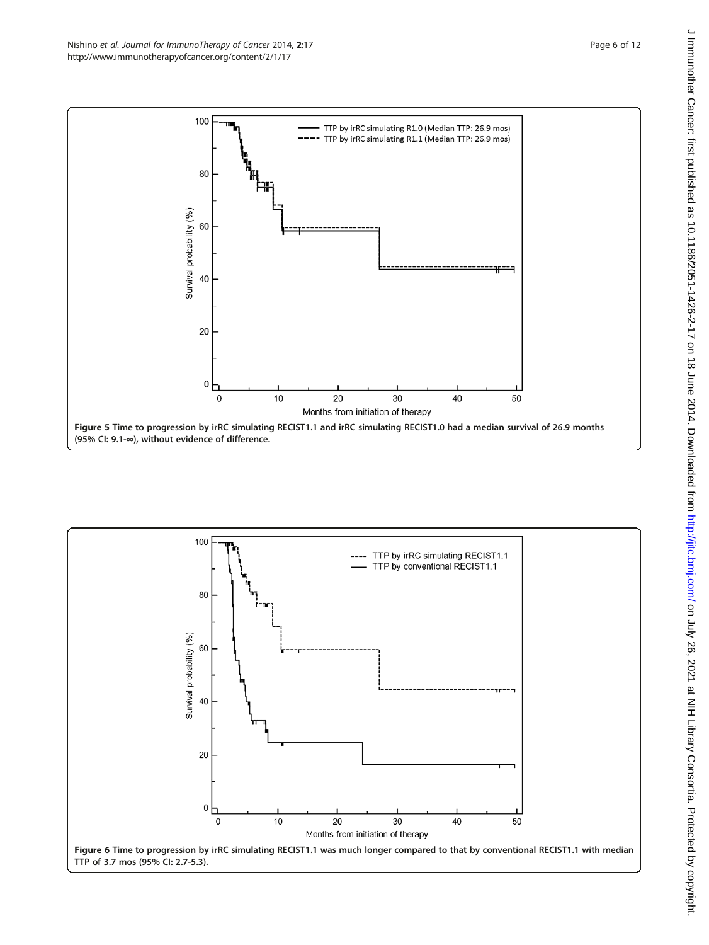<span id="page-5-0"></span>

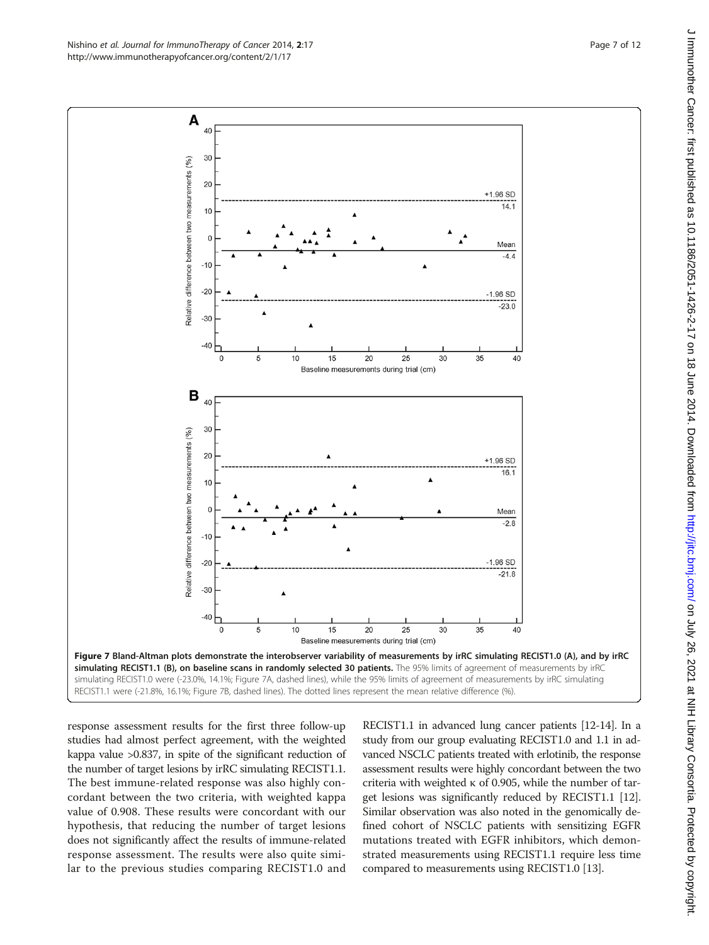response assessment results for the first three follow-up studies had almost perfect agreement, with the weighted kappa value >0.837, in spite of the significant reduction of the number of target lesions by irRC simulating RECIST1.1. The best immune-related response was also highly concordant between the two criteria, with weighted kappa value of 0.908. These results were concordant with our hypothesis, that reducing the number of target lesions does not significantly affect the results of immune-related response assessment. The results were also quite similar to the previous studies comparing RECIST1.0 and RECIST1.1 in advanced lung cancer patients [\[12-14](#page-10-0)]. In a study from our group evaluating RECIST1.0 and 1.1 in advanced NSCLC patients treated with erlotinib, the response assessment results were highly concordant between the two criteria with weighted κ of 0.905, while the number of target lesions was significantly reduced by RECIST1.1 [[12](#page-10-0)]. Similar observation was also noted in the genomically defined cohort of NSCLC patients with sensitizing EGFR mutations treated with EGFR inhibitors, which demonstrated measurements using RECIST1.1 require less time compared to measurements using RECIST1.0 [[13](#page-10-0)].



<span id="page-6-0"></span>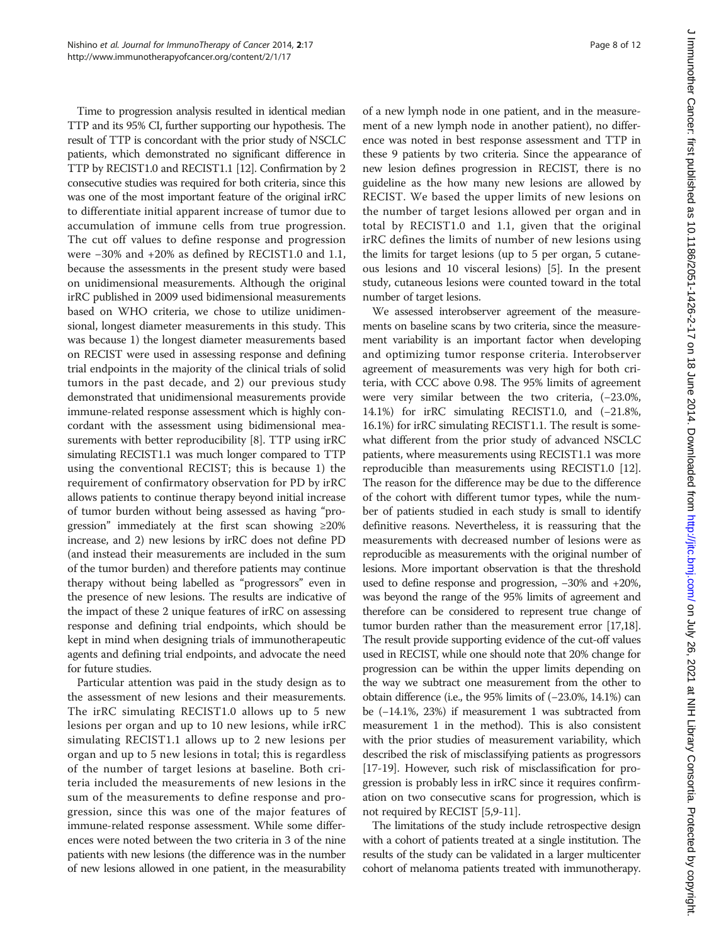Time to progression analysis resulted in identical median TTP and its 95% CI, further supporting our hypothesis. The result of TTP is concordant with the prior study of NSCLC patients, which demonstrated no significant difference in TTP by RECIST1.0 and RECIST1.1 [\[12\]](#page-10-0). Confirmation by 2 consecutive studies was required for both criteria, since this was one of the most important feature of the original irRC to differentiate initial apparent increase of tumor due to accumulation of immune cells from true progression. The cut off values to define response and progression were −30% and +20% as defined by RECIST1.0 and 1.1, because the assessments in the present study were based on unidimensional measurements. Although the original irRC published in 2009 used bidimensional measurements based on WHO criteria, we chose to utilize unidimensional, longest diameter measurements in this study. This was because 1) the longest diameter measurements based on RECIST were used in assessing response and defining trial endpoints in the majority of the clinical trials of solid tumors in the past decade, and 2) our previous study demonstrated that unidimensional measurements provide immune-related response assessment which is highly concordant with the assessment using bidimensional measurements with better reproducibility [\[8\]](#page-10-0). TTP using irRC simulating RECIST1.1 was much longer compared to TTP using the conventional RECIST; this is because 1) the requirement of confirmatory observation for PD by irRC allows patients to continue therapy beyond initial increase of tumor burden without being assessed as having "progression" immediately at the first scan showing  $\geq 20\%$ increase, and 2) new lesions by irRC does not define PD (and instead their measurements are included in the sum of the tumor burden) and therefore patients may continue therapy without being labelled as "progressors" even in the presence of new lesions. The results are indicative of the impact of these 2 unique features of irRC on assessing response and defining trial endpoints, which should be kept in mind when designing trials of immunotherapeutic agents and defining trial endpoints, and advocate the need for future studies.

Particular attention was paid in the study design as to the assessment of new lesions and their measurements. The irRC simulating RECIST1.0 allows up to 5 new lesions per organ and up to 10 new lesions, while irRC simulating RECIST1.1 allows up to 2 new lesions per organ and up to 5 new lesions in total; this is regardless of the number of target lesions at baseline. Both criteria included the measurements of new lesions in the sum of the measurements to define response and progression, since this was one of the major features of immune-related response assessment. While some differences were noted between the two criteria in 3 of the nine patients with new lesions (the difference was in the number of new lesions allowed in one patient, in the measurability of a new lymph node in one patient, and in the measurement of a new lymph node in another patient), no difference was noted in best response assessment and TTP in these 9 patients by two criteria. Since the appearance of new lesion defines progression in RECIST, there is no guideline as the how many new lesions are allowed by RECIST. We based the upper limits of new lesions on the number of target lesions allowed per organ and in total by RECIST1.0 and 1.1, given that the original irRC defines the limits of number of new lesions using the limits for target lesions (up to 5 per organ, 5 cutaneous lesions and 10 visceral lesions) [[5\]](#page-10-0). In the present study, cutaneous lesions were counted toward in the total number of target lesions.

We assessed interobserver agreement of the measurements on baseline scans by two criteria, since the measurement variability is an important factor when developing and optimizing tumor response criteria. Interobserver agreement of measurements was very high for both criteria, with CCC above 0.98. The 95% limits of agreement were very similar between the two criteria, (−23.0%, 14.1%) for irRC simulating RECIST1.0, and (−21.8%, 16.1%) for irRC simulating RECIST1.1. The result is somewhat different from the prior study of advanced NSCLC patients, where measurements using RECIST1.1 was more reproducible than measurements using RECIST1.0 [[12](#page-10-0)]. The reason for the difference may be due to the difference of the cohort with different tumor types, while the number of patients studied in each study is small to identify definitive reasons. Nevertheless, it is reassuring that the measurements with decreased number of lesions were as reproducible as measurements with the original number of lesions. More important observation is that the threshold used to define response and progression, −30% and +20%, was beyond the range of the 95% limits of agreement and therefore can be considered to represent true change of tumor burden rather than the measurement error [[17,18](#page-10-0)]. The result provide supporting evidence of the cut-off values used in RECIST, while one should note that 20% change for progression can be within the upper limits depending on the way we subtract one measurement from the other to obtain difference (i.e., the 95% limits of (−23.0%, 14.1%) can be (−14.1%, 23%) if measurement 1 was subtracted from measurement 1 in the method). This is also consistent with the prior studies of measurement variability, which described the risk of misclassifying patients as progressors [[17](#page-10-0)-[19\]](#page-11-0). However, such risk of misclassification for progression is probably less in irRC since it requires confirmation on two consecutive scans for progression, which is not required by RECIST [\[5,9](#page-10-0)-[11](#page-10-0)].

The limitations of the study include retrospective design with a cohort of patients treated at a single institution. The results of the study can be validated in a larger multicenter cohort of melanoma patients treated with immunotherapy.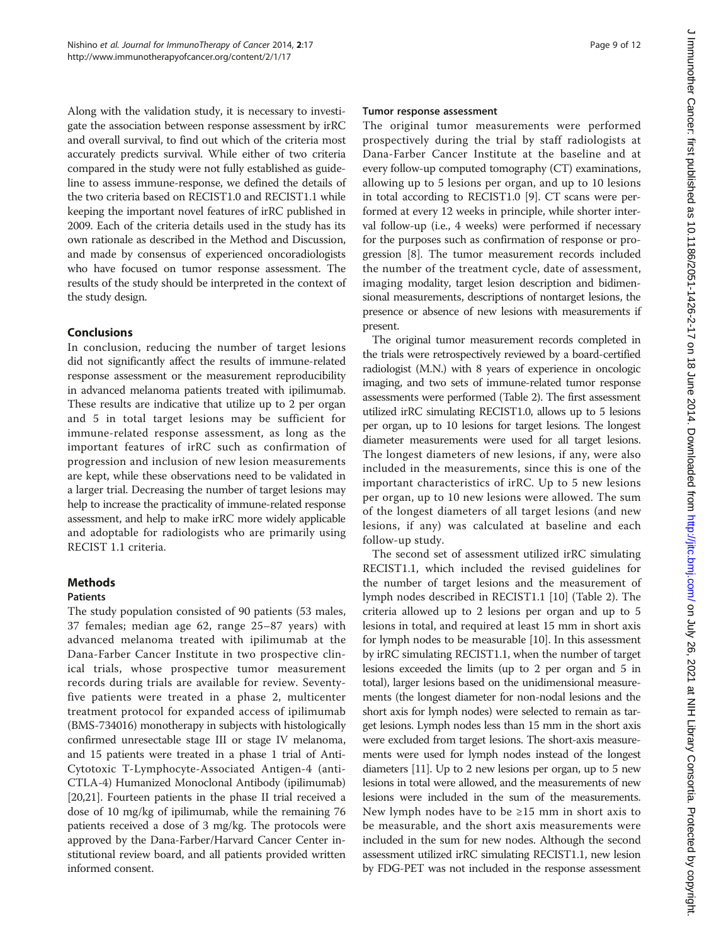Along with the validation study, it is necessary to investigate the association between response assessment by irRC and overall survival, to find out which of the criteria most accurately predicts survival. While either of two criteria compared in the study were not fully established as guideline to assess immune-response, we defined the details of the two criteria based on RECIST1.0 and RECIST1.1 while keeping the important novel features of irRC published in 2009. Each of the criteria details used in the study has its own rationale as described in the Method and [Discussion](#page-3-0), and made by consensus of experienced oncoradiologists who have focused on tumor response assessment. The results of the study should be interpreted in the context of the study design.

# Conclusions

In conclusion, reducing the number of target lesions did not significantly affect the results of immune-related response assessment or the measurement reproducibility in advanced melanoma patients treated with ipilimumab. These results are indicative that utilize up to 2 per organ and 5 in total target lesions may be sufficient for immune-related response assessment, as long as the important features of irRC such as confirmation of progression and inclusion of new lesion measurements are kept, while these observations need to be validated in a larger trial. Decreasing the number of target lesions may help to increase the practicality of immune-related response assessment, and help to make irRC more widely applicable and adoptable for radiologists who are primarily using RECIST 1.1 criteria.

# Methods

## Patients

The study population consisted of 90 patients (53 males, 37 females; median age 62, range 25–87 years) with advanced melanoma treated with ipilimumab at the Dana-Farber Cancer Institute in two prospective clinical trials, whose prospective tumor measurement records during trials are available for review. Seventyfive patients were treated in a phase 2, multicenter treatment protocol for expanded access of ipilimumab (BMS-734016) monotherapy in subjects with histologically confirmed unresectable stage III or stage IV melanoma, and 15 patients were treated in a phase 1 trial of Anti-Cytotoxic T-Lymphocyte-Associated Antigen-4 (anti-CTLA-4) Humanized Monoclonal Antibody (ipilimumab) [[20,21](#page-11-0)]. Fourteen patients in the phase II trial received a dose of 10 mg/kg of ipilimumab, while the remaining 76 patients received a dose of 3 mg/kg. The protocols were approved by the Dana-Farber/Harvard Cancer Center institutional review board, and all patients provided written informed consent.

#### Tumor response assessment

The original tumor measurements were performed prospectively during the trial by staff radiologists at Dana-Farber Cancer Institute at the baseline and at every follow-up computed tomography (CT) examinations, allowing up to 5 lesions per organ, and up to 10 lesions in total according to RECIST1.0 [\[9](#page-10-0)]. CT scans were performed at every 12 weeks in principle, while shorter interval follow-up (i.e., 4 weeks) were performed if necessary for the purposes such as confirmation of response or progression [\[8](#page-10-0)]. The tumor measurement records included the number of the treatment cycle, date of assessment, imaging modality, target lesion description and bidimensional measurements, descriptions of nontarget lesions, the presence or absence of new lesions with measurements if present.

The original tumor measurement records completed in the trials were retrospectively reviewed by a board-certified radiologist (M.N.) with 8 years of experience in oncologic imaging, and two sets of immune-related tumor response assessments were performed (Table [2](#page-9-0)). The first assessment utilized irRC simulating RECIST1.0, allows up to 5 lesions per organ, up to 10 lesions for target lesions. The longest diameter measurements were used for all target lesions. The longest diameters of new lesions, if any, were also included in the measurements, since this is one of the important characteristics of irRC. Up to 5 new lesions per organ, up to 10 new lesions were allowed. The sum of the longest diameters of all target lesions (and new lesions, if any) was calculated at baseline and each follow-up study.

The second set of assessment utilized irRC simulating RECIST1.1, which included the revised guidelines for the number of target lesions and the measurement of lymph nodes described in RECIST1.1 [[10](#page-10-0)] (Table [2\)](#page-9-0). The criteria allowed up to 2 lesions per organ and up to 5 lesions in total, and required at least 15 mm in short axis for lymph nodes to be measurable [[10\]](#page-10-0). In this assessment by irRC simulating RECIST1.1, when the number of target lesions exceeded the limits (up to 2 per organ and 5 in total), larger lesions based on the unidimensional measurements (the longest diameter for non-nodal lesions and the short axis for lymph nodes) were selected to remain as target lesions. Lymph nodes less than 15 mm in the short axis were excluded from target lesions. The short-axis measurements were used for lymph nodes instead of the longest diameters [[11](#page-10-0)]. Up to 2 new lesions per organ, up to 5 new lesions in total were allowed, and the measurements of new lesions were included in the sum of the measurements. New lymph nodes have to be  $\geq 15$  mm in short axis to be measurable, and the short axis measurements were included in the sum for new nodes. Although the second assessment utilized irRC simulating RECIST1.1, new lesion by FDG-PET was not included in the response assessment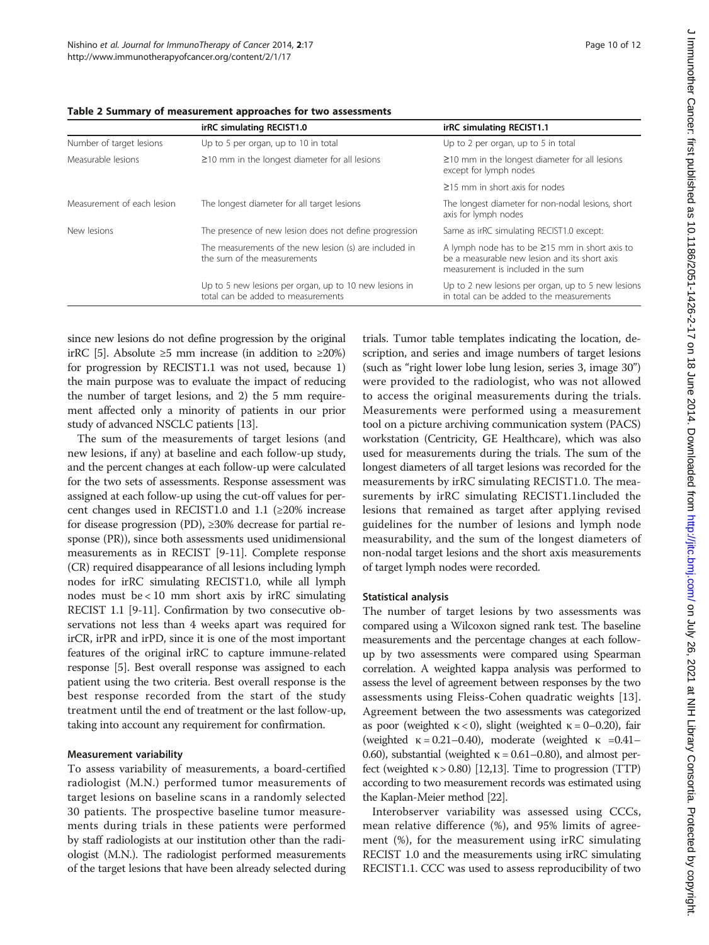|                            | irRC simulating RECIST1.0                                                                    | irRC simulating RECIST1.1                                                                                                                   |  |  |
|----------------------------|----------------------------------------------------------------------------------------------|---------------------------------------------------------------------------------------------------------------------------------------------|--|--|
| Number of target lesions   | Up to 5 per organ, up to 10 in total                                                         | Up to 2 per organ, up to 5 in total                                                                                                         |  |  |
| Measurable lesions         | $\geq$ 10 mm in the longest diameter for all lesions                                         | $\geq$ 10 mm in the longest diameter for all lesions<br>except for lymph nodes                                                              |  |  |
|                            |                                                                                              | $\geq$ 15 mm in short axis for nodes                                                                                                        |  |  |
| Measurement of each lesion | The longest diameter for all target lesions                                                  | The longest diameter for non-nodal lesions, short<br>axis for lymph nodes                                                                   |  |  |
| New lesions                | The presence of new lesion does not define progression                                       | Same as irRC simulating RECIST1.0 except:                                                                                                   |  |  |
|                            | The measurements of the new lesion (s) are included in<br>the sum of the measurements        | A lymph node has to be $\geq$ 15 mm in short axis to<br>be a measurable new lesion and its short axis<br>measurement is included in the sum |  |  |
|                            | Up to 5 new lesions per organ, up to 10 new lesions in<br>total can be added to measurements | Up to 2 new lesions per organ, up to 5 new lesions<br>in total can be added to the measurements                                             |  |  |

<span id="page-9-0"></span>Table 2 Summary of measurement approaches for two assessments

since new lesions do not define progression by the original irRC [[5\]](#page-10-0). Absolute ≥5 mm increase (in addition to ≥20%) for progression by RECIST1.1 was not used, because 1) the main purpose was to evaluate the impact of reducing the number of target lesions, and 2) the 5 mm requirement affected only a minority of patients in our prior study of advanced NSCLC patients [[13\]](#page-10-0).

The sum of the measurements of target lesions (and new lesions, if any) at baseline and each follow-up study, and the percent changes at each follow-up were calculated for the two sets of assessments. Response assessment was assigned at each follow-up using the cut-off values for percent changes used in RECIST1.0 and 1.1 ( $\geq$ 20% increase for disease progression (PD), ≥30% decrease for partial response (PR)), since both assessments used unidimensional measurements as in RECIST [\[9](#page-10-0)-[11](#page-10-0)]. Complete response (CR) required disappearance of all lesions including lymph nodes for irRC simulating RECIST1.0, while all lymph nodes must be < 10 mm short axis by irRC simulating RECIST 1.1 [\[9-11](#page-10-0)]. Confirmation by two consecutive observations not less than 4 weeks apart was required for irCR, irPR and irPD, since it is one of the most important features of the original irRC to capture immune-related response [[5\]](#page-10-0). Best overall response was assigned to each patient using the two criteria. Best overall response is the best response recorded from the start of the study treatment until the end of treatment or the last follow-up, taking into account any requirement for confirmation.

## Measurement variability

To assess variability of measurements, a board-certified radiologist (M.N.) performed tumor measurements of target lesions on baseline scans in a randomly selected 30 patients. The prospective baseline tumor measurements during trials in these patients were performed by staff radiologists at our institution other than the radiologist (M.N.). The radiologist performed measurements of the target lesions that have been already selected during

trials. Tumor table templates indicating the location, description, and series and image numbers of target lesions (such as "right lower lobe lung lesion, series 3, image 30") were provided to the radiologist, who was not allowed to access the original measurements during the trials. Measurements were performed using a measurement tool on a picture archiving communication system (PACS) workstation (Centricity, GE Healthcare), which was also used for measurements during the trials. The sum of the longest diameters of all target lesions was recorded for the measurements by irRC simulating RECIST1.0. The measurements by irRC simulating RECIST1.1included the lesions that remained as target after applying revised guidelines for the number of lesions and lymph node measurability, and the sum of the longest diameters of non-nodal target lesions and the short axis measurements of target lymph nodes were recorded.

#### Statistical analysis

The number of target lesions by two assessments was compared using a Wilcoxon signed rank test. The baseline measurements and the percentage changes at each followup by two assessments were compared using Spearman correlation. A weighted kappa analysis was performed to assess the level of agreement between responses by the two assessments using Fleiss-Cohen quadratic weights [\[13](#page-10-0)]. Agreement between the two assessments was categorized as poor (weighted  $\kappa$  < 0), slight (weighted  $\kappa$  = 0–0.20), fair (weighted  $\kappa = 0.21 - 0.40$ ), moderate (weighted  $\kappa = 0.41 -$ 0.60), substantial (weighted  $κ = 0.61 - 0.80$ ), and almost perfect (weighted  $\kappa$  > 0.80) [\[12,13\]](#page-10-0). Time to progression (TTP) according to two measurement records was estimated using the Kaplan-Meier method [\[22\]](#page-11-0).

Interobserver variability was assessed using CCCs, mean relative difference (%), and 95% limits of agreement (%), for the measurement using irRC simulating RECIST 1.0 and the measurements using irRC simulating RECIST1.1. CCC was used to assess reproducibility of two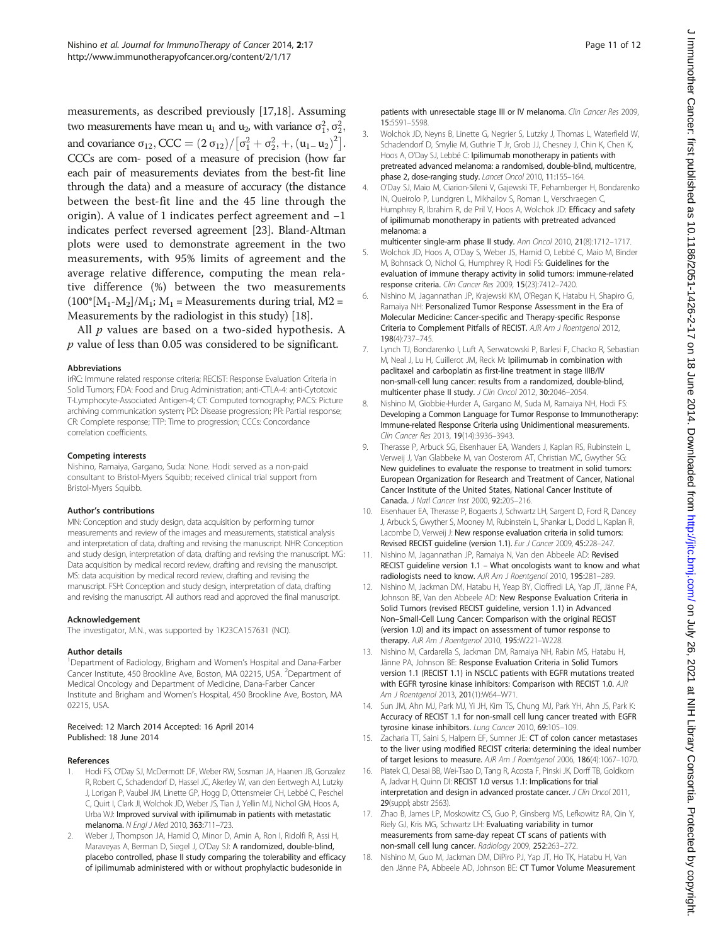<span id="page-10-0"></span>measurements, as described previously [17,18]. Assuming two measurements have mean  $u_1$  and  $u_2$ , with variance  $\sigma_1^2, \sigma_2^2,$ and covariance  $\sigma_{12}$ , CCC =  $(2 \sigma_{12})/[\sigma_1^2 + \sigma_2^2, +, (u_1 - u_2)^2]$ . CCCs are com- posed of a measure of precision (how far each pair of measurements deviates from the best-fit line through the data) and a measure of accuracy (the distance between the best-fit line and the 45 line through the origin). A value of 1 indicates perfect agreement and −1 indicates perfect reversed agreement [[23\]](#page-11-0). Bland-Altman plots were used to demonstrate agreement in the two measurements, with 95% limits of agreement and the average relative difference, computing the mean relative difference (%) between the two measurements  $(100^* [M_1-M_2]/M_1$ ;  $M_1$  = Measurements during trial, M2 = Measurements by the radiologist in this study) [18].

All  $p$  values are based on a two-sided hypothesis. A p value of less than 0.05 was considered to be significant.

#### Abbreviations

irRC: Immune related response criteria; RECIST: Response Evaluation Criteria in Solid Tumors; FDA: Food and Drug Administration; anti-CTLA-4: anti-Cytotoxic T-Lymphocyte-Associated Antigen-4; CT: Computed tomography; PACS: Picture archiving communication system; PD: Disease progression; PR: Partial response; CR: Complete response; TTP: Time to progression; CCCs: Concordance correlation coefficients.

#### Competing interests

Nishino, Ramaiya, Gargano, Suda: None. Hodi: served as a non-paid consultant to Bristol-Myers Squibb; received clinical trial support from Bristol-Myers Squibb.

#### Author's contributions

MN: Conception and study design, data acquisition by performing tumor measurements and review of the images and measurements, statistical analysis and interpretation of data, drafting and revising the manuscript. NHR: Conception and study design, interpretation of data, drafting and revising the manuscript. MG: Data acquisition by medical record review, drafting and revising the manuscript. MS: data acquisition by medical record review, drafting and revising the manuscript. FSH: Conception and study design, interpretation of data, drafting and revising the manuscript. All authors read and approved the final manuscript.

#### Acknowledgement

The investigator, M.N., was supported by 1K23CA157631 (NCI).

#### Author details

<sup>1</sup>Department of Radiology, Brigham and Women's Hospital and Dana-Farber Cancer Institute, 450 Brookline Ave, Boston, MA 02215, USA. <sup>2</sup>Department of Medical Oncology and Department of Medicine, Dana-Farber Cancer Institute and Brigham and Women's Hospital, 450 Brookline Ave, Boston, MA 02215, USA.

#### Received: 12 March 2014 Accepted: 16 April 2014 Published: 18 June 2014

#### References

- 1. Hodi FS, O'Day SJ, McDermott DF, Weber RW, Sosman JA, Haanen JB, Gonzalez R, Robert C, Schadendorf D, Hassel JC, Akerley W, van den Eertwegh AJ, Lutzky J, Lorigan P, Vaubel JM, Linette GP, Hogg D, Ottensmeier CH, Lebbé C, Peschel C, Quirt I, Clark JI, Wolchok JD, Weber JS, Tian J, Yellin MJ, Nichol GM, Hoos A, Urba WJ: Improved survival with ipilimumab in patients with metastatic melanoma. N Engl J Med 2010, 363:711–723.
- 2. Weber J, Thompson JA, Hamid O, Minor D, Amin A, Ron I, Ridolfi R, Assi H, Maraveyas A, Berman D, Siegel J, O'Day SJ: A randomized, double-blind, placebo controlled, phase II study comparing the tolerability and efficacy of ipilimumab administered with or without prophylactic budesonide in
- 3. Wolchok JD, Neyns B, Linette G, Negrier S, Lutzky J, Thomas L, Waterfield W, Schadendorf D, Smylie M, Guthrie T Jr, Grob JJ, Chesney J, Chin K, Chen K, Hoos A, O'Day SJ, Lebbé C: Ipilimumab monotherapy in patients with pretreated advanced melanoma: a randomised, double-blind, multicentre, phase 2, dose-ranging study. Lancet Oncol 2010, 11:155–164.
- 4. O'Day SJ, Maio M, Ciarion-Sileni V, Gajewski TF, Pehamberger H, Bondarenko IN, Queirolo P, Lundgren L, Mikhailov S, Roman L, Verschraegen C, Humphrey R, Ibrahim R, de Pril V, Hoos A, Wolchok JD: Efficacy and safety of ipilimumab monotherapy in patients with pretreated advanced melanoma: a
- multicenter single-arm phase II study. Ann Oncol 2010, 21(8):1712–1717. 5. Wolchok JD, Hoos A, O'Day S, Weber JS, Hamid O, Lebbé C, Maio M, Binder
- M, Bohnsack O, Nichol G, Humphrey R, Hodi FS: Guidelines for the evaluation of immune therapy activity in solid tumors: immune-related response criteria. Clin Cancer Res 2009, 15(23):7412–7420.
- 6. Nishino M, Jagannathan JP, Krajewski KM, O'Regan K, Hatabu H, Shapiro G, Ramaiya NH: Personalized Tumor Response Assessment in the Era of Molecular Medicine: Cancer-specific and Therapy-specific Response Criteria to Complement Pitfalls of RECIST. AJR Am J Roentgenol 2012, 198(4):737–745.
- 7. Lynch TJ, Bondarenko I, Luft A, Serwatowski P, Barlesi F, Chacko R, Sebastian M, Neal J, Lu H, Cuillerot JM, Reck M: Ipilimumab in combination with paclitaxel and carboplatin as first-line treatment in stage IIIB/IV non-small-cell lung cancer: results from a randomized, double-blind, multicenter phase II study. J Clin Oncol 2012, 30:2046–2054.
- 8. Nishino M, Giobbie-Hurder A, Gargano M, Suda M, Ramaiya NH, Hodi FS: Developing a Common Language for Tumor Response to Immunotherapy: Immune-related Response Criteria using Unidimentional measurements. Clin Cancer Res 2013, 19(14):3936–3943.
- Therasse P, Arbuck SG, Eisenhauer EA, Wanders J, Kaplan RS, Rubinstein L, Verweij J, Van Glabbeke M, van Oosterom AT, Christian MC, Gwyther SG: New guidelines to evaluate the response to treatment in solid tumors: European Organization for Research and Treatment of Cancer, National Cancer Institute of the United States, National Cancer Institute of Canada. J Natl Cancer Inst 2000, 92:205–216.
- 10. Eisenhauer EA, Therasse P, Bogaerts J, Schwartz LH, Sargent D, Ford R, Dancey J, Arbuck S, Gwyther S, Mooney M, Rubinstein L, Shankar L, Dodd L, Kaplan R, Lacombe D, Verweij J: New response evaluation criteria in solid tumors: Revised RECIST guideline (version 1.1). Eur J Cancer 2009, 45:228–247.
- 11. Nishino M, Jagannathan JP, Ramaiya N, Van den Abbeele AD: Revised RECIST guideline version 1.1 – What oncologists want to know and what radiologists need to know. AJR Am J Roentgenol 2010, 195:281–289.
- 12. Nishino M, Jackman DM, Hatabu H, Yeap BY, Cioffredi LA, Yap JT, Jänne PA, Johnson BE, Van den Abbeele AD: New Response Evaluation Criteria in Solid Tumors (revised RECIST guideline, version 1.1) in Advanced Non–Small-Cell Lung Cancer: Comparison with the original RECIST (version 1.0) and its impact on assessment of tumor response to therapy. AJR Am J Roentgenol 2010, 195:W221–W228.
- 13. Nishino M, Cardarella S, Jackman DM, Ramaiya NH, Rabin MS, Hatabu H, Jänne PA, Johnson BE: Response Evaluation Criteria in Solid Tumors version 1.1 (RECIST 1.1) in NSCLC patients with EGFR mutations treated with EGFR tyrosine kinase inhibitors: Comparison with RECIST 1.0. AJR Am J Roentgenol 2013, 201(1):W64–W71.
- 14. Sun JM, Ahn MJ, Park MJ, Yi JH, Kim TS, Chung MJ, Park YH, Ahn JS, Park K: Accuracy of RECIST 1.1 for non-small cell lung cancer treated with EGFR tyrosine kinase inhibitors. Lung Cancer 2010, 69:105-109.
- 15. Zacharia TT, Saini S, Halpern EF, Sumner JE: CT of colon cancer metastases to the liver using modified RECIST criteria: determining the ideal number of target lesions to measure. AJR Am J Roentgenol 2006, 186(4):1067–1070.
- 16. Piatek CI, Desai BB, Wei-Tsao D, Tang R, Acosta F, Pinski JK, Dorff TB, Goldkorn A, Jadvar H, Quinn DI: RECIST 1.0 versus 1.1: Implications for trial interpretation and design in advanced prostate cancer. J Clin Oncol 2011, 29(suppl; abstr 2563).
- 17. Zhao B, James LP, Moskowitz CS, Guo P, Ginsberg MS, Lefkowitz RA, Qin Y, Riely GJ, Kris MG, Schwartz LH: Evaluating variability in tumor measurements from same-day repeat CT scans of patients with non-small cell lung cancer. Radiology 2009, 252:263–272.
- 18. Nishino M, Guo M, Jackman DM, DiPiro PJ, Yap JT, Ho TK, Hatabu H, Van den Jänne PA, Abbeele AD, Johnson BE: CT Tumor Volume Measurement